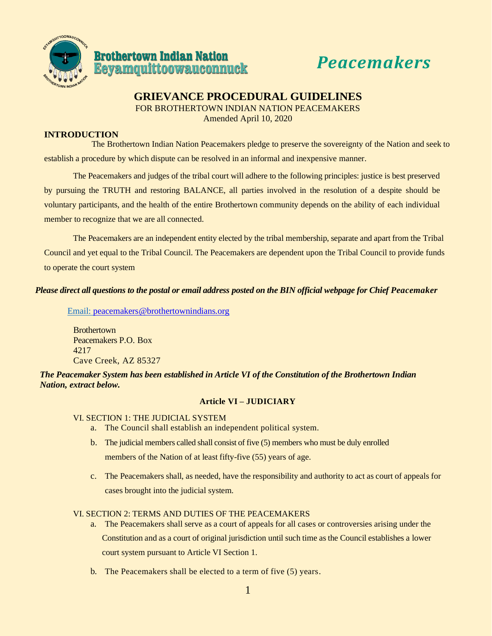

# *Peacemakers*

# **GRIEVANCE PROCEDURAL GUIDELINES**

FOR BROTHERTOWN INDIAN NATION PEACEMAKERS

Amended April 10, 2020

# **INTRODUCTION**

The Brothertown Indian Nation Peacemakers pledge to preserve the sovereignty of the Nation and seek to establish a procedure by which dispute can be resolved in an informal and inexpensive manner.

The Peacemakers and judges of the tribal court will adhere to the following principles: justice is best preserved by pursuing the TRUTH and restoring BALANCE, all parties involved in the resolution of a despite should be voluntary participants, and the health of the entire Brothertown community depends on the ability of each individual member to recognize that we are all connected.

The Peacemakers are an independent entity elected by the tribal membership, separate and apart from the Tribal Council and yet equal to the Tribal Council. The Peacemakers are dependent upon the Tribal Council to provide funds to operate the court system

# *Please direct all questions to the postal or email address posted on the BIN official webpage for Chief Peacemaker*

[Email: p](mailto:Email:)eacemakers@brothertownindians.org

**Brothertown** Peacemakers P.O. Box 4217 Cave Creek, AZ 85327

*The Peacemaker System has been established in Article VI of the Constitution of the Brothertown Indian Nation, extract below.*

# **Article VI – JUDICIARY**

# VI. SECTION 1: THE JUDICIAL SYSTEM

- a. The Council shall establish an independent political system.
- b. The judicial members called shall consist of five (5) members who must be duly enrolled members of the Nation of at least fifty-five (55) years of age.
- c. The Peacemakers shall, as needed, have the responsibility and authority to act as court of appeals for cases brought into the judicial system.

# VI. SECTION 2: TERMS AND DUTIES OF THE PEACEMAKERS

- a. The Peacemakers shall serve as a court of appeals for all cases or controversies arising under the Constitution and as a court of original jurisdiction until such time as the Council establishes a lower court system pursuant to Article VI Section 1.
- b. The Peacemakers shall be elected to a term of five (5) years.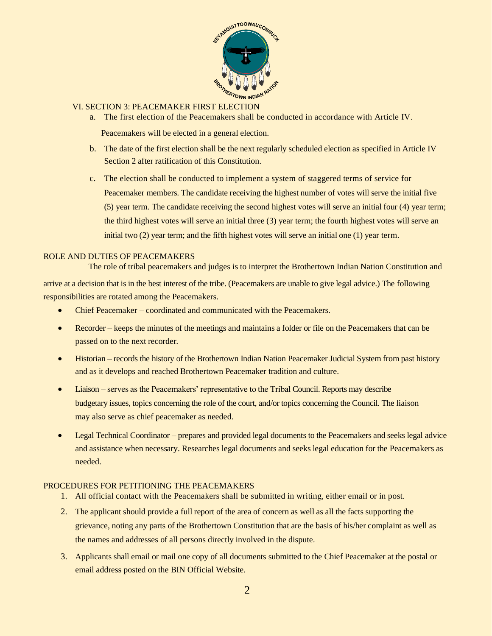

# VI. SECTION 3: PEACEMAKER FIRST ELECTION

- a. The first election of the Peacemakers shall be conducted in accordance with Article IV. Peacemakers will be elected in a general election.
- b. The date of the first election shall be the next regularly scheduled election as specified in Article IV Section 2 after ratification of this Constitution.
- c. The election shall be conducted to implement a system of staggered terms of service for Peacemaker members. The candidate receiving the highest number of votes will serve the initial five (5) year term. The candidate receiving the second highest votes will serve an initial four (4) year term; the third highest votes will serve an initial three (3) year term; the fourth highest votes will serve an initial two (2) year term; and the fifth highest votes will serve an initial one (1) year term.

# ROLE AND DUTIES OF PEACEMAKERS

The role of tribal peacemakers and judges is to interpret the Brothertown Indian Nation Constitution and

arrive at a decision that is in the best interest of the tribe. (Peacemakers are unable to give legal advice.) The following responsibilities are rotated among the Peacemakers.

- Chief Peacemaker coordinated and communicated with the Peacemakers.
- Recorder keeps the minutes of the meetings and maintains a folder or file on the Peacemakers that can be passed on to the next recorder.
- Historian records the history of the Brothertown Indian Nation Peacemaker Judicial System from past history and as it develops and reached Brothertown Peacemaker tradition and culture.
- Liaison serves as the Peacemakers' representative to the Tribal Council. Reports may describe budgetary issues, topics concerning the role of the court, and/or topics concerning the Council. The liaison may also serve as chief peacemaker as needed.
- Legal Technical Coordinator prepares and provided legal documents to the Peacemakers and seeks legal advice and assistance when necessary. Researches legal documents and seeks legal education for the Peacemakers as needed.

# PROCEDURES FOR PETITIONING THE PEACEMAKERS

- 1. All official contact with the Peacemakers shall be submitted in writing, either email or in post.
- 2. The applicant should provide a full report of the area of concern as well as all the facts supporting the grievance, noting any parts of the Brothertown Constitution that are the basis of his/her complaint as well as the names and addresses of all persons directly involved in the dispute.
- 3. Applicants shall email or mail one copy of all documents submitted to the Chief Peacemaker at the postal or email address posted on the BIN Official Website.